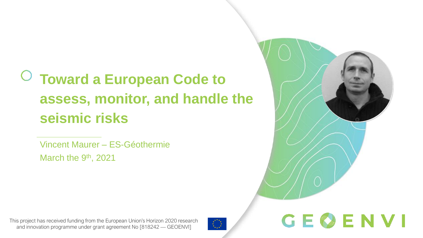# **Toward a European Code to assess, monitor, and handle the seismic risks**

Vincent Maurer – ES-Géothermie March the 9<sup>th</sup>, 2021



GEOENVI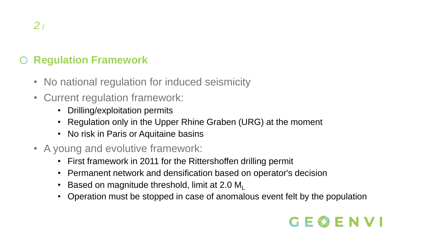### **Regulation Framework**

- No national regulation for induced seismicity
- Current regulation framework:
	- Drilling/exploitation permits
	- Regulation only in the Upper Rhine Graben (URG) at the moment
	- No risk in Paris or Aquitaine basins
- A young and evolutive framework:
	- First framework in 2011 for the Rittershoffen drilling permit
	- Permanent network and densification based on operator's decision
	- Based on magnitude threshold, limit at 2.0  $M<sub>L</sub>$
	- Operation must be stopped in case of anomalous event felt by the population

## GEOENVI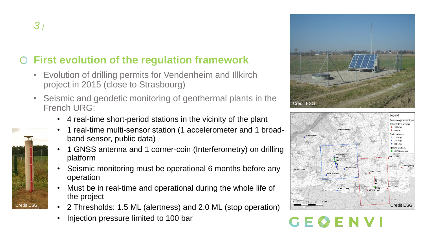#### **First evolution of the regulation framework**  $\bigcirc$

- Evolution of drilling permits for Vendenheim and Illkirch project in 2015 (close to Strasbourg)
- Seismic and geodetic monitoring of geothermal plants in the French URG:
	- 4 real-time short-period stations in the vicinity of the plant
	- 1 real-time multi-sensor station (1 accelerometer and 1 broadband sensor, public data)
	- 1 GNSS antenna and 1 corner-coin (Interferometry) on drilling platform
	- Seismic monitoring must be operational 6 months before any operation
	- Must be in real-time and operational during the whole life of the project
- Credit ESG  $\blacksquare$  2 Thresholds: 1.5 ML (alertness) and 2.0 ML (stop operation)  $\blacksquare$   $\blacksquare$   $\blacksquare$   $\blacksquare$   $\blacksquare$   $\blacksquare$   $\blacksquare$   $\blacksquare$   $\blacksquare$   $\blacksquare$   $\blacksquare$   $\blacksquare$   $\blacksquare$   $\blacksquare$   $\blacksquare$   $\blacksquare$   $\blacksquare$   $\blacksquare$   $\blacksquare$   $\blacksquare$ 
	- Injection pressure limited to 100 bar



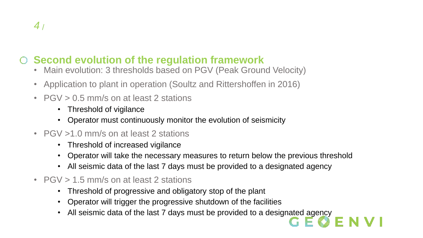### **Second evolution of the regulation framework**

- Main evolution: 3 thresholds based on PGV (Peak Ground Velocity)
- Application to plant in operation (Soultz and Rittershoffen in 2016)
- PGV > 0.5 mm/s on at least 2 stations
	- Threshold of vigilance
	- Operator must continuously monitor the evolution of seismicity
- PGV > 1.0 mm/s on at least 2 stations
	- Threshold of increased vigilance
	- Operator will take the necessary measures to return below the previous threshold
	- All seismic data of the last 7 days must be provided to a designated agency
- PGV > 1.5 mm/s on at least 2 stations
	- Threshold of progressive and obligatory stop of the plant
	- Operator will trigger the progressive shutdown of the facilities
	- All seismic data of the last 7 days must be provided to a designated agency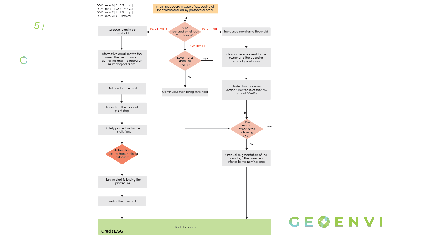

## GEØENVI

*5* /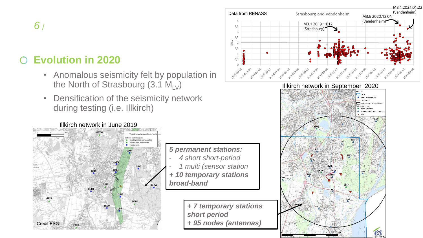#### **Evolution in 2020**  $\cap$

- Anomalous seismicity felt by population in the North of Strasbourg (3.1  $M_{UV}$ )
- Densification of the seismicity network during testing (i.e. Illkirch)

#### Illkirch network in June 2019 Trajectoire prévisionnelle des pu-**Stations sismologiques** Courte période permanentes Multicapteur permanente C Temporaine **IL04** IL02 **IL05 IL03** IL01 **ILLK** IL06 **IL10 IL08 GEIS IL09** Credit ESG *+ 95 nodes (antennas)*

#### *5 permanent stations:* - *4 short short-period* - *1 multi (sensor station + 10 temporary stations broad-band*

*+ 7 temporary stations short period*

 $3,5$ 

 $2,5$ NLV  $1,5$ 

> $0,5$  $\Omega$

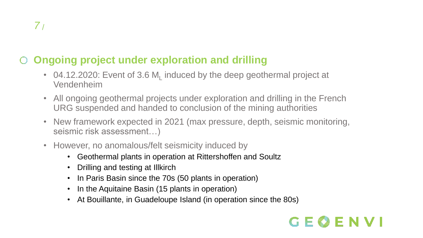#### **Ongoing project under exploration and drilling**  $\bigcirc$

- 04.12.2020: Event of 3.6  $M<sub>L</sub>$  induced by the deep geothermal project at Vendenheim
- All ongoing geothermal projects under exploration and drilling in the French URG suspended and handed to conclusion of the mining authorities
- New framework expected in 2021 (max pressure, depth, seismic monitoring, seismic risk assessment…)
- However, no anomalous/felt seismicity induced by
	- Geothermal plants in operation at Rittershoffen and Soultz
	- Drilling and testing at Illkirch
	- In Paris Basin since the 70s (50 plants in operation)
	- In the Aquitaine Basin (15 plants in operation)
	- At Bouillante, in Guadeloupe Island (in operation since the 80s)

## $G \to$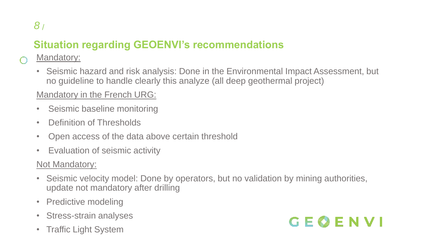### **Situation regarding GEOENVI's recommendations**

#### Mandatory:

• Seismic hazard and risk analysis: Done in the Environmental Impact Assessment, but no guideline to handle clearly this analyze (all deep geothermal project)

#### Mandatory in the French URG:

- Seismic baseline monitoring
- Definition of Thresholds
- Open access of the data above certain threshold
- Evaluation of seismic activity

#### Not Mandatory:

- Seismic velocity model: Done by operators, but no validation by mining authorities, update not mandatory after drilling
- Predictive modeling
- Stress-strain analyses
- Traffic Light System

# GEOENVI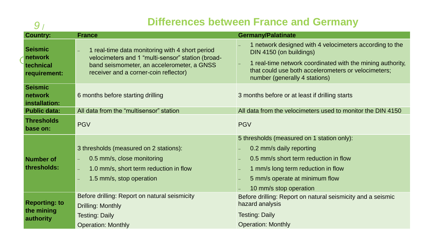### **Differences between France and Germany** *9*

| 9                                                      | Differences between France and Germany                                                                                                                                                      |                                                                                                                                                                                                                                          |
|--------------------------------------------------------|---------------------------------------------------------------------------------------------------------------------------------------------------------------------------------------------|------------------------------------------------------------------------------------------------------------------------------------------------------------------------------------------------------------------------------------------|
| <b>Country:</b>                                        | <b>France</b>                                                                                                                                                                               | <b>Germany/Palatinate</b>                                                                                                                                                                                                                |
| <b>Seismic</b><br>network<br>technical<br>requirement: | 1 real-time data monitoring with 4 short period<br>velocimeters and 1 "multi-sensor" station (broad-<br>band seismometer, an accelerometer, a GNSS<br>receiver and a corner-coin reflector) | 1 network designed with 4 velocimeters according to the<br>DIN 4150 (on buildings)<br>1 real-time network coordinated with the mining authority,<br>that could use both accelerometers or velocimeters;<br>number (generally 4 stations) |
| <b>Seismic</b><br>network<br>installation:             | 6 months before starting drilling                                                                                                                                                           | 3 months before or at least if drilling starts                                                                                                                                                                                           |
| <b>Public data:</b>                                    | All data from the "multisensor" station                                                                                                                                                     | All data from the velocimeters used to monitor the DIN 4150                                                                                                                                                                              |
| <b>Thresholds</b><br>base on:                          | <b>PGV</b>                                                                                                                                                                                  | <b>PGV</b>                                                                                                                                                                                                                               |
| Number of<br>thresholds:                               | 3 thresholds (measured on 2 stations):<br>0.5 mm/s, close monitoring<br>1.0 mm/s, short term reduction in flow<br>1.5 mm/s, stop operation                                                  | 5 thresholds (measured on 1 station only):<br>0.2 mm/s daily reporting<br>0.5 mm/s short term reduction in flow<br>1 mm/s long term reduction in flow<br>5 mm/s operate at minimum flow<br>10 mm/s stop operation                        |
| <b>Reporting: to</b><br>the mining<br>authority        | Before drilling: Report on natural seismicity<br>Drilling: Monthly<br><b>Testing: Daily</b><br><b>Operation: Monthly</b>                                                                    | Before drilling: Report on natural seismicity and a seismic<br>hazard analysis<br><b>Testing: Daily</b><br><b>Operation: Monthly</b>                                                                                                     |